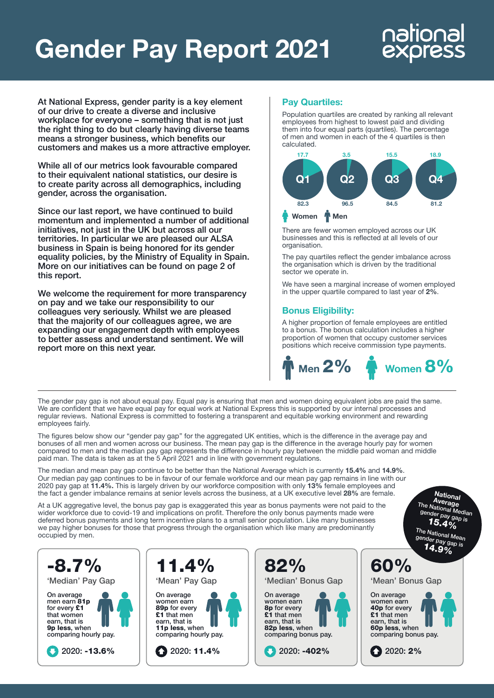## Gender Pay Report 2021

# national

At National Express, gender parity is a key element of our drive to create a diverse and inclusive workplace for everyone – something that is not just the right thing to do but clearly having diverse teams means a stronger business, which benefits our customers and makes us a more attractive employer.

While all of our metrics look favourable compared to their equivalent national statistics, our desire is to create parity across all demographics, including gender, across the organisation.

Since our last report, we have continued to build momentum and implemented a number of additional initiatives, not just in the UK but across all our territories. In particular we are pleased our ALSA business in Spain is being honored for its gender equality policies, by the Ministry of Equality in Spain. More on our initiatives can be found on page 2 of this report.

We welcome the requirement for more transparency on pay and we take our responsibility to our colleagues very seriously. Whilst we are pleased that the majority of our colleagues agree, we are expanding our engagement depth with employees to better assess and understand sentiment. We will report more on this next year.

#### Pay Quartiles:

Population quartiles are created by ranking all relevant employees from highest to lowest paid and dividing them into four equal parts (quartiles). The percentage of men and women in each of the 4 quartiles is then calculated.



There are fewer women employed across our UK businesses and this is reflected at all levels of our organisation.

The pay quartiles reflect the gender imbalance across the organisation which is driven by the traditional sector we operate in.

We have seen a marginal increase of women employed in the upper quartile compared to last year of 2%.

#### Bonus Eligibility:

A higher proportion of female employees are entitled to a bonus. The bonus calculation includes a higher proportion of women that occupy customer services positions which receive commission type payments.



The gender pay gap is not about equal pay. Equal pay is ensuring that men and women doing equivalent jobs are paid the same. We are confident that we have equal pay for equal work at National Express this is supported by our internal processes and regular reviews. National Express is committed to fostering a transparent and equitable working environment and rewarding employees fairly.

The figures below show our "gender pay gap'' for the aggregated UK entities, which is the difference in the average pay and bonuses of all men and women across our business. The mean pay gap is the difference in the average hourly pay for women compared to men and the median pay gap represents the difference in hourly pay between the middle paid woman and middle paid man. The data is taken as at the 5 April 2021 and in line with government regulations.

The median and mean pay gap continue to be better than the National Average which is currently 15.4% and 14.9%. Our median pay gap continues to be in favour of our female workforce and our mean pay gap remains in line with our 2020 pay gap at 11.4%. This is largely driven by our workforce composition with only 13% female employees and the fact a gender imbalance remains at senior levels across the business, at a UK executive level 28% are female.

At a UK aggregative level, the bonus pay gap is exaggerated this year as bonus payments were not paid to the wider workforce due to covid-19 and implications on profit. Therefore the only bonus payments made were deferred bonus payments and long term incentive plans to a small senior population. Like many businesses we pay higher bonuses for those that progress through the organisation which like many are predominantly occupied by men.

National<br>Average Average<br>The National Median<br>gender pay gap is  $15.4%$ The National Mean gender pay gap is

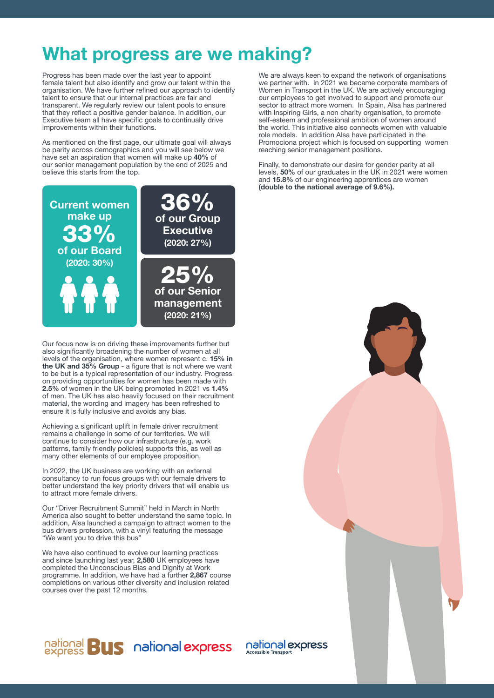#### What progress are we making?

Progress has been made over the last year to appoint female talent but also identify and grow our talent within the organisation. We have further refined our approach to identify talent to ensure that our internal practices are fair and transparent. We regularly review our talent pools to ensure that they reflect a positive gender balance. In addition, our Executive team all have specific goals to continually drive improvements within their functions.

As mentioned on the first page, our ultimate goal will always be parity across demographics and you will see below we have set an aspiration that women will make up 40% of our senior management population by the end of 2025 and believe this starts from the top.



Our focus now is on driving these improvements further but also significantly broadening the number of women at all levels of the organisation, where women represent c. 15% in the UK and 35% Group - a figure that is not where we want to be but is a typical representation of our industry. Progress on providing opportunities for women has been made with 2.5% of women in the UK being promoted in 2021 vs 1.4% of men. The UK has also heavily focused on their recruitment material, the wording and imagery has been refreshed to ensure it is fully inclusive and avoids any bias.

Achieving a significant uplift in female driver recruitment remains a challenge in some of our territories. We will continue to consider how our infrastructure (e.g. work patterns, family friendly policies) supports this, as well as many other elements of our employee proposition.

In 2022, the UK business are working with an external consultancy to run focus groups with our female drivers to better understand the key priority drivers that will enable us to attract more female drivers.

Our "Driver Recruitment Summit" held in March in North America also sought to better understand the same topic. In addition, Alsa launched a campaign to attract women to the bus drivers profession, with a vinyl featuring the message "We want you to drive this bus"

We have also continued to evolve our learning practices and since launching last year, 2,580 UK employees have completed the Unconscious Bias and Dignity at Work programme. In addition, we have had a further 2,867 course completions on various other diversity and inclusion related courses over the past 12 months.

#### national **BUS** national express

**Assible Transport** 



Finally, to demonstrate our desire for gender parity at all levels, 50% of our graduates in the UK in 2021 were women and 15.8% of our engineering apprentices are women (double to the national average of 9.6%).